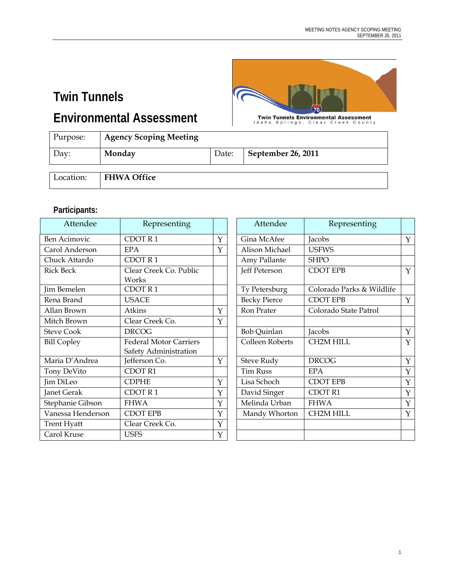## **Twin Tunnels**

**Environmental Assessment** 



**Twin Tunnels Environmental Assessment**<br>Idaho Springs, Clear Creek County

| Purpose:  | <b>Agency Scoping Meeting</b> |       |                    |
|-----------|-------------------------------|-------|--------------------|
| Day:      | Monday                        | Date: | September 26, 2011 |
| Location: | <b>FHWA Office</b>            |       |                    |

#### **Participants:**

| Attendee           | Representing                                           |   | Attendee            | Representing              |              |
|--------------------|--------------------------------------------------------|---|---------------------|---------------------------|--------------|
| Ben Acimovic       | CDOTR1                                                 | Y | Gina McAfee         | Jacobs                    | Y            |
| Carol Anderson     | <b>EPA</b>                                             | Y | Alison Michael      | <b>USFWS</b>              |              |
| Chuck Attardo      | CDOTR1                                                 |   | Amy Pallante        | <b>SHPO</b>               |              |
| <b>Rick Beck</b>   | Clear Creek Co. Public<br>Works                        |   | Jeff Peterson       | <b>CDOT EPB</b>           | Y            |
| Jim Bemelen        | CDOTR1                                                 |   | Ty Petersburg       | Colorado Parks & Wildlife |              |
| Rena Brand         | <b>USACE</b>                                           |   | <b>Becky Pierce</b> | <b>CDOT EPB</b>           | Y            |
| Allan Brown        | Atkins                                                 | Y | Ron Prater          | Colorado State Patrol     |              |
| Mitch Brown        | Clear Creek Co.                                        | Y |                     |                           |              |
| <b>Steve Cook</b>  | <b>DRCOG</b>                                           |   | <b>Bob Quinlan</b>  | Jacobs                    | $\mathbf{Y}$ |
| <b>Bill Copley</b> | <b>Federal Motor Carriers</b><br>Safety Administration |   | Colleen Roberts     | CH2M HILL                 | $\mathbf Y$  |
| Maria D'Andrea     | Jefferson Co.                                          | Y | Steve Rudy          | <b>DRCOG</b>              | $\mathbf Y$  |
| Tony DeVito        | CDOT R1                                                |   | <b>Tim Russ</b>     | <b>EPA</b>                | $\mathbf Y$  |
| Jim DiLeo          | <b>CDPHE</b>                                           | Y | Lisa Schoch         | <b>CDOT EPB</b>           | $\mathbf Y$  |
| Janet Gerak        | CDOT R1                                                | Y | David Singer        | CDOT R1                   | $\mathbf Y$  |
| Stephanie Gibson   | <b>FHWA</b>                                            | Y | Melinda Urban       | <b>FHWA</b>               | $\Upsilon$   |
| Vanessa Henderson  | <b>CDOT EPB</b>                                        | Y | Mandy Whorton       | <b>CH2M HILL</b>          | Y            |
| <b>Trent Hyatt</b> | Clear Creek Co.                                        | Y |                     |                           |              |
| Carol Kruse        | <b>USFS</b>                                            | Y |                     |                           |              |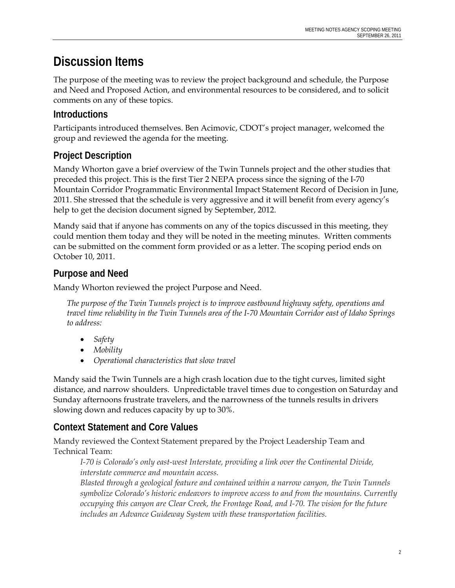# **Discussion Items**

The purpose of the meeting was to review the project background and schedule, the Purpose and Need and Proposed Action, and environmental resources to be considered, and to solicit comments on any of these topics.

#### **Introductions**

Participants introduced themselves. Ben Acimovic, CDOT's project manager, welcomed the group and reviewed the agenda for the meeting.

## **Project Description**

Mandy Whorton gave a brief overview of the Twin Tunnels project and the other studies that preceded this project. This is the first Tier 2 NEPA process since the signing of the I-70 Mountain Corridor Programmatic Environmental Impact Statement Record of Decision in June, 2011. She stressed that the schedule is very aggressive and it will benefit from every agency's help to get the decision document signed by September, 2012.

Mandy said that if anyone has comments on any of the topics discussed in this meeting, they could mention them today and they will be noted in the meeting minutes. Written comments can be submitted on the comment form provided or as a letter. The scoping period ends on October 10, 2011.

## **Purpose and Need**

Mandy Whorton reviewed the project Purpose and Need.

*The purpose of the Twin Tunnels project is to improve eastbound highway safety, operations and travel time reliability in the Twin Tunnels area of the I-70 Mountain Corridor east of Idaho Springs to address:* 

- *Safety*
- *Mobility*
- *Operational characteristics that slow travel*

Mandy said the Twin Tunnels are a high crash location due to the tight curves, limited sight distance, and narrow shoulders. Unpredictable travel times due to congestion on Saturday and Sunday afternoons frustrate travelers, and the narrowness of the tunnels results in drivers slowing down and reduces capacity by up to 30%.

## **Context Statement and Core Values**

Mandy reviewed the Context Statement prepared by the Project Leadership Team and Technical Team:

*I-70 is Colorado's only east-west Interstate, providing a link over the Continental Divide, interstate commerce and mountain access.* 

*Blasted through a geological feature and contained within a narrow canyon, the Twin Tunnels symbolize Colorado's historic endeavors to improve access to and from the mountains. Currently occupying this canyon are Clear Creek, the Frontage Road, and I-70. The vision for the future includes an Advance Guideway System with these transportation facilities.*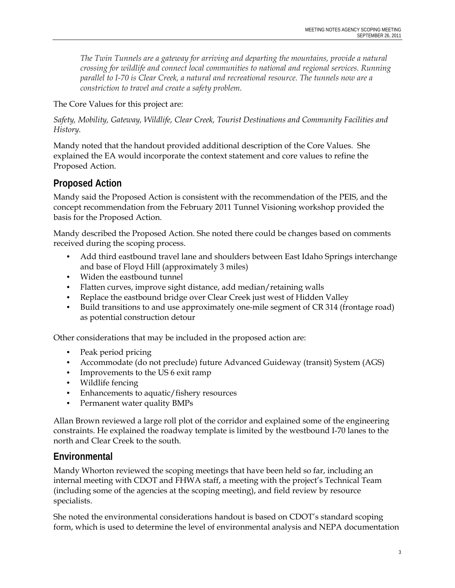*The Twin Tunnels are a gateway for arriving and departing the mountains, provide a natural crossing for wildlife and connect local communities to national and regional services. Running parallel to I-70 is Clear Creek, a natural and recreational resource. The tunnels now are a constriction to travel and create a safety problem.* 

The Core Values for this project are:

*Safety, Mobility, Gateway, Wildlife, Clear Creek, Tourist Destinations and Community Facilities and History.*

Mandy noted that the handout provided additional description of the Core Values. She explained the EA would incorporate the context statement and core values to refine the Proposed Action.

#### **Proposed Action**

Mandy said the Proposed Action is consistent with the recommendation of the PEIS, and the concept recommendation from the February 2011 Tunnel Visioning workshop provided the basis for the Proposed Action.

Mandy described the Proposed Action. She noted there could be changes based on comments received during the scoping process.

- Add third eastbound travel lane and shoulders between East Idaho Springs interchange and base of Floyd Hill (approximately 3 miles)
- Widen the eastbound tunnel
- Flatten curves, improve sight distance, add median/retaining walls
- Replace the eastbound bridge over Clear Creek just west of Hidden Valley
- Build transitions to and use approximately one-mile segment of CR 314 (frontage road) as potential construction detour

Other considerations that may be included in the proposed action are:

- Peak period pricing
- Accommodate (do not preclude) future Advanced Guideway (transit) System (AGS)
- Improvements to the US 6 exit ramp
- Wildlife fencing
- Enhancements to aquatic/fishery resources
- Permanent water quality BMPs

Allan Brown reviewed a large roll plot of the corridor and explained some of the engineering constraints. He explained the roadway template is limited by the westbound I-70 lanes to the north and Clear Creek to the south.

#### **Environmental**

Mandy Whorton reviewed the scoping meetings that have been held so far, including an internal meeting with CDOT and FHWA staff, a meeting with the project's Technical Team (including some of the agencies at the scoping meeting), and field review by resource specialists.

She noted the environmental considerations handout is based on CDOT's standard scoping form, which is used to determine the level of environmental analysis and NEPA documentation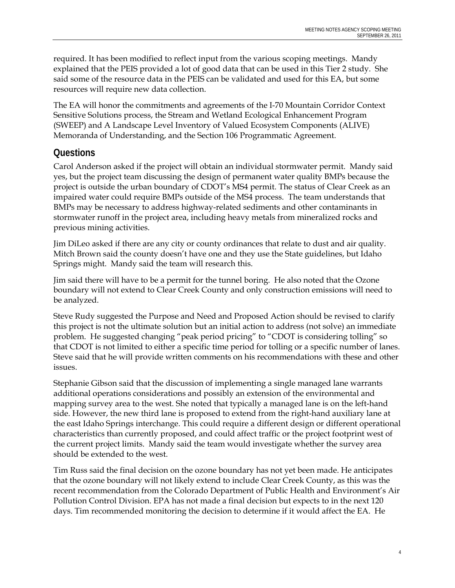required. It has been modified to reflect input from the various scoping meetings. Mandy explained that the PEIS provided a lot of good data that can be used in this Tier 2 study. She said some of the resource data in the PEIS can be validated and used for this EA, but some resources will require new data collection.

The EA will honor the commitments and agreements of the I-70 Mountain Corridor Context Sensitive Solutions process, the Stream and Wetland Ecological Enhancement Program (SWEEP) and A Landscape Level Inventory of Valued Ecosystem Components (ALIVE) Memoranda of Understanding, and the Section 106 Programmatic Agreement.

## **Questions**

Carol Anderson asked if the project will obtain an individual stormwater permit. Mandy said yes, but the project team discussing the design of permanent water quality BMPs because the project is outside the urban boundary of CDOT's MS4 permit. The status of Clear Creek as an impaired water could require BMPs outside of the MS4 process. The team understands that BMPs may be necessary to address highway-related sediments and other contaminants in stormwater runoff in the project area, including heavy metals from mineralized rocks and previous mining activities.

Jim DiLeo asked if there are any city or county ordinances that relate to dust and air quality. Mitch Brown said the county doesn't have one and they use the State guidelines, but Idaho Springs might. Mandy said the team will research this.

Jim said there will have to be a permit for the tunnel boring. He also noted that the Ozone boundary will not extend to Clear Creek County and only construction emissions will need to be analyzed.

Steve Rudy suggested the Purpose and Need and Proposed Action should be revised to clarify this project is not the ultimate solution but an initial action to address (not solve) an immediate problem. He suggested changing "peak period pricing" to "CDOT is considering tolling" so that CDOT is not limited to either a specific time period for tolling or a specific number of lanes. Steve said that he will provide written comments on his recommendations with these and other issues.

Stephanie Gibson said that the discussion of implementing a single managed lane warrants additional operations considerations and possibly an extension of the environmental and mapping survey area to the west. She noted that typically a managed lane is on the left-hand side. However, the new third lane is proposed to extend from the right-hand auxiliary lane at the east Idaho Springs interchange. This could require a different design or different operational characteristics than currently proposed, and could affect traffic or the project footprint west of the current project limits. Mandy said the team would investigate whether the survey area should be extended to the west.

Tim Russ said the final decision on the ozone boundary has not yet been made. He anticipates that the ozone boundary will not likely extend to include Clear Creek County, as this was the recent recommendation from the Colorado Department of Public Health and Environment's Air Pollution Control Division. EPA has not made a final decision but expects to in the next 120 days. Tim recommended monitoring the decision to determine if it would affect the EA. He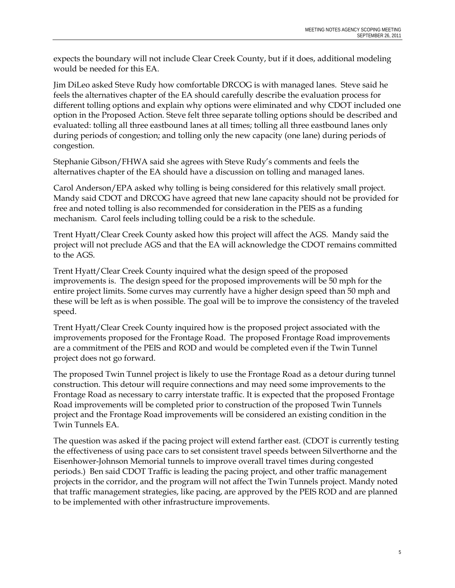expects the boundary will not include Clear Creek County, but if it does, additional modeling would be needed for this EA.

Jim DiLeo asked Steve Rudy how comfortable DRCOG is with managed lanes. Steve said he feels the alternatives chapter of the EA should carefully describe the evaluation process for different tolling options and explain why options were eliminated and why CDOT included one option in the Proposed Action. Steve felt three separate tolling options should be described and evaluated: tolling all three eastbound lanes at all times; tolling all three eastbound lanes only during periods of congestion; and tolling only the new capacity (one lane) during periods of congestion.

Stephanie Gibson/FHWA said she agrees with Steve Rudy's comments and feels the alternatives chapter of the EA should have a discussion on tolling and managed lanes.

Carol Anderson/EPA asked why tolling is being considered for this relatively small project. Mandy said CDOT and DRCOG have agreed that new lane capacity should not be provided for free and noted tolling is also recommended for consideration in the PEIS as a funding mechanism. Carol feels including tolling could be a risk to the schedule.

Trent Hyatt/Clear Creek County asked how this project will affect the AGS. Mandy said the project will not preclude AGS and that the EA will acknowledge the CDOT remains committed to the AGS.

Trent Hyatt/Clear Creek County inquired what the design speed of the proposed improvements is. The design speed for the proposed improvements will be 50 mph for the entire project limits. Some curves may currently have a higher design speed than 50 mph and these will be left as is when possible. The goal will be to improve the consistency of the traveled speed.

Trent Hyatt/Clear Creek County inquired how is the proposed project associated with the improvements proposed for the Frontage Road. The proposed Frontage Road improvements are a commitment of the PEIS and ROD and would be completed even if the Twin Tunnel project does not go forward.

The proposed Twin Tunnel project is likely to use the Frontage Road as a detour during tunnel construction. This detour will require connections and may need some improvements to the Frontage Road as necessary to carry interstate traffic. It is expected that the proposed Frontage Road improvements will be completed prior to construction of the proposed Twin Tunnels project and the Frontage Road improvements will be considered an existing condition in the Twin Tunnels EA.

The question was asked if the pacing project will extend farther east. (CDOT is currently testing the effectiveness of using pace cars to set consistent travel speeds between Silverthorne and the Eisenhower-Johnson Memorial tunnels to improve overall travel times during congested periods.) Ben said CDOT Traffic is leading the pacing project, and other traffic management projects in the corridor, and the program will not affect the Twin Tunnels project. Mandy noted that traffic management strategies, like pacing, are approved by the PEIS ROD and are planned to be implemented with other infrastructure improvements.